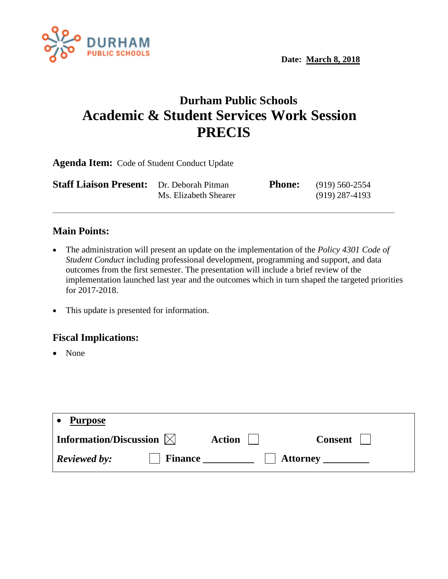

## **Durham Public Schools Academic & Student Services Work Session PRECIS**

**Agenda Item:** Code of Student Conduct Update

| <b>Staff Liaison Present:</b> Dr. Deborah Pitman |                       | <b>Phone:</b> | (919) 560-2554 |
|--------------------------------------------------|-----------------------|---------------|----------------|
|                                                  | Ms. Elizabeth Shearer |               | (919) 287-4193 |

## **Main Points:**

- The administration will present an update on the implementation of the *Policy 4301 Code of Student Conduct* including professional development, programming and support, and data outcomes from the first semester. The presentation will include a brief review of the implementation launched last year and the outcomes which in turn shaped the targeted priorities for 2017-2018.
- This update is presented for information.

## **Fiscal Implications:**

• None

| <b>Purpose</b>                        |               |                 |
|---------------------------------------|---------------|-----------------|
| Information/Discussion $\boxtimes$    | <b>Action</b> | Consent         |
| <b>Reviewed by:</b><br><b>Finance</b> |               | <b>Attorney</b> |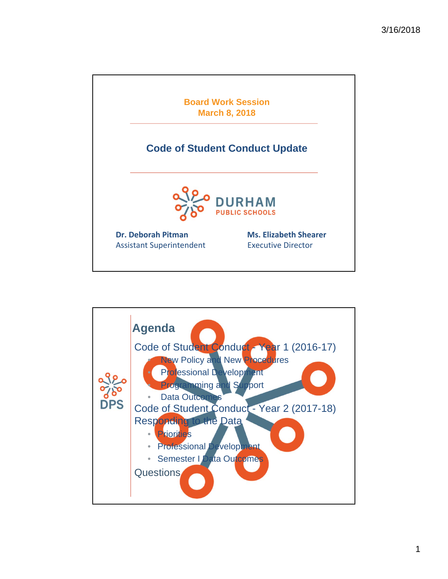

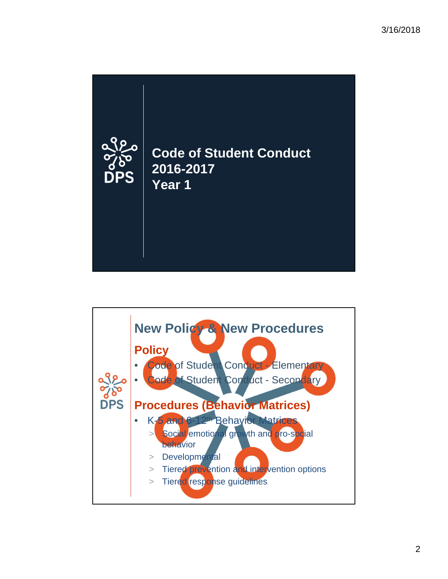

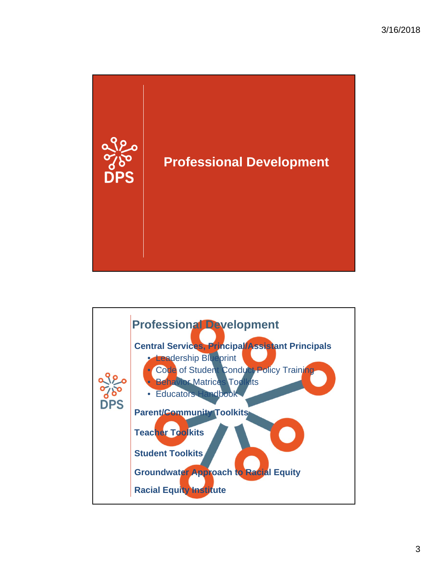

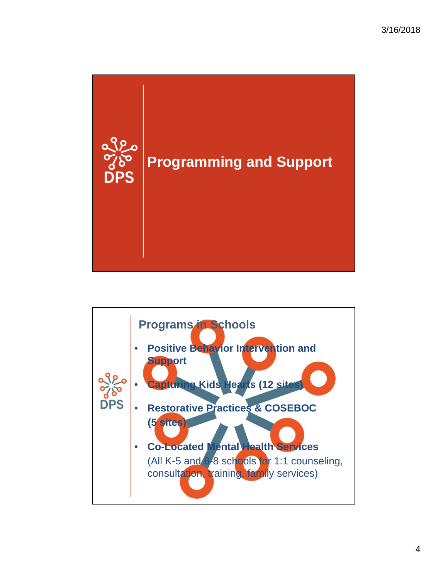

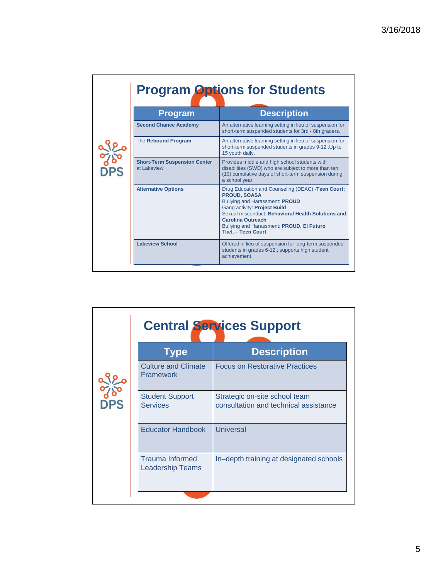|               | <b>Program Options for Students</b>                |                                                                                                                                                                                                                                                                                                               |  |
|---------------|----------------------------------------------------|---------------------------------------------------------------------------------------------------------------------------------------------------------------------------------------------------------------------------------------------------------------------------------------------------------------|--|
|               | <b>Program</b>                                     | <b>Description</b>                                                                                                                                                                                                                                                                                            |  |
|               | <b>Second Chance Academy</b>                       | An alternative learning setting in lieu of suspension for<br>short-term suspended students for 3rd - 8th graders.                                                                                                                                                                                             |  |
| $\frac{1}{8}$ | The Rebound Program                                | An alternative learning setting in lieu of suspension for<br>short-term suspended students in grades 9-12 . Up to<br>15 youth daily.                                                                                                                                                                          |  |
| $P_{\rm SS}$  | <b>Short-Term Suspension Center</b><br>at Lakeview | Provides middle and high school students with<br>disabilities (SWD) who are subject to more than ten<br>(10) cumulative days of short-term suspension during<br>a school year                                                                                                                                 |  |
|               | <b>Alternative Options</b>                         | Drug Education and Counseling (DEAC) -Teen Court;<br><b>PROUD, SOASA</b><br><b>Bullying and Harassment: PROUD</b><br>Gang activity: Project Build<br>Sexual misconduct: Behavioral Health Solutions and<br><b>Carolina Outreach</b><br>Bullying and Harassment: PROUD, El Futuro<br><b>Theft - Teen Court</b> |  |
|               | <b>Lakeview School</b>                             | Offered in lieu of suspension for long-term suspended<br>students in grades 6-12.; supports high student<br>achievement.                                                                                                                                                                                      |  |

|    | <b>Central Services Support</b>                |                                                                        |  |
|----|------------------------------------------------|------------------------------------------------------------------------|--|
|    | <b>Type</b>                                    | <b>Description</b>                                                     |  |
|    | <b>Culture and Climate</b><br><b>Framework</b> | <b>Focus on Restorative Practices</b>                                  |  |
| PS | <b>Student Support</b><br><b>Services</b>      | Strategic on-site school team<br>consultation and technical assistance |  |
|    | <b>Educator Handbook</b>                       | Universal                                                              |  |
|    | <b>Trauma Informed</b><br>Leadership Teams     | In-depth training at designated schools                                |  |
|    |                                                |                                                                        |  |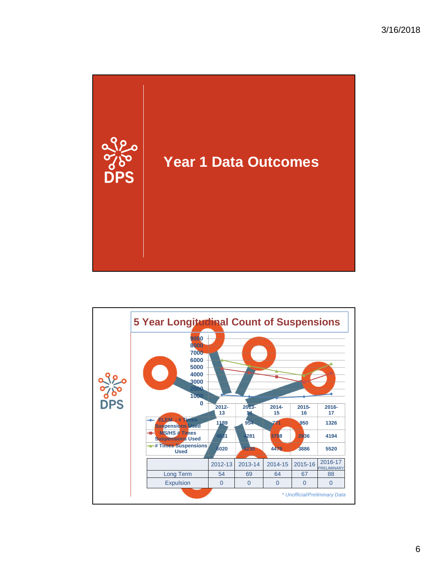

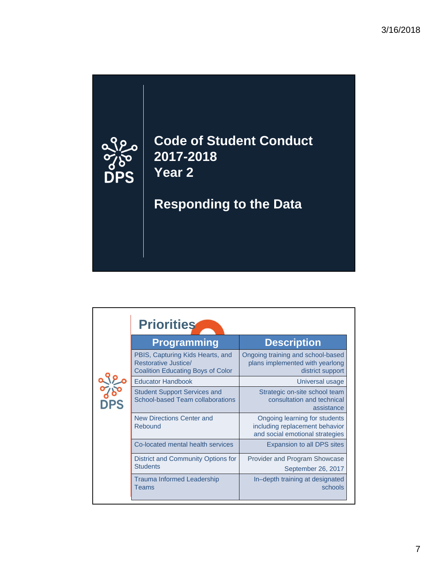

| <b>Priorities</b>                                                                                    |                                                                                                    |
|------------------------------------------------------------------------------------------------------|----------------------------------------------------------------------------------------------------|
| <b>Programming</b>                                                                                   | <b>Description</b>                                                                                 |
| PBIS, Capturing Kids Hearts, and<br>Restorative Justice/<br><b>Coalition Educating Boys of Color</b> | Ongoing training and school-based<br>plans implemented with yearlong<br>district support           |
| <b>Educator Handbook</b>                                                                             | Universal usage                                                                                    |
| <b>Student Support Services and</b><br><b>School-based Team collaborations</b>                       | Strategic on-site school team<br>consultation and technical<br>assistance                          |
| <b>New Directions Center and</b><br>Rebound                                                          | Ongoing learning for students<br>including replacement behavior<br>and social emotional strategies |
| Co-located mental health services                                                                    | Expansion to all DPS sites                                                                         |
| District and Community Options for<br><b>Students</b>                                                | Provider and Program Showcase<br>September 26, 2017                                                |
| Trauma Informed Leadership<br>Teams                                                                  | In-depth training at designated<br>schools                                                         |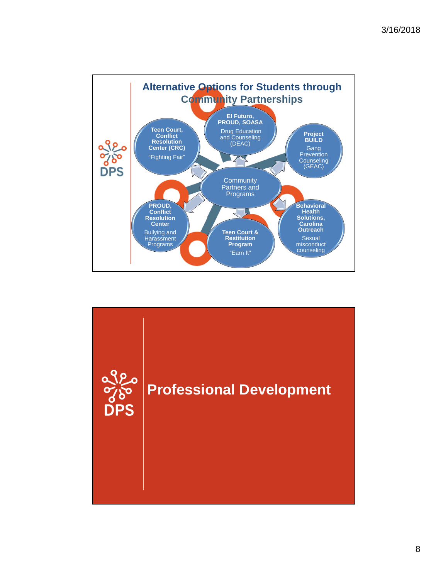

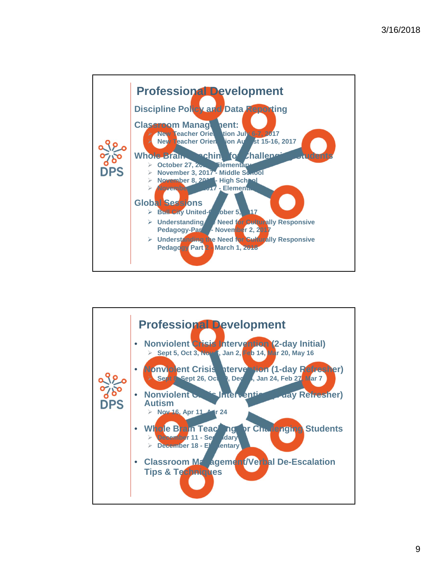

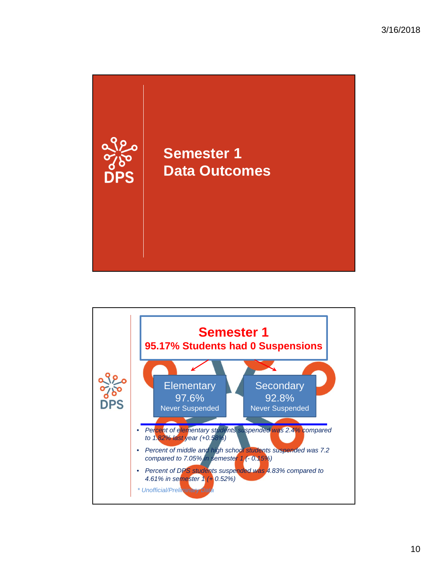

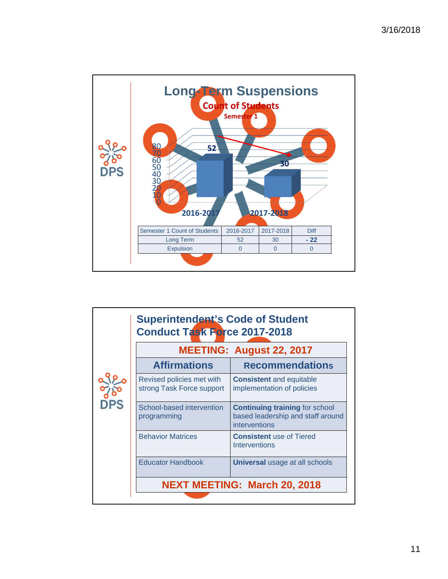

|           | <b>Superintendent's Code of Student</b><br><b>Conduct Task Force 2017-2018</b> |                                                                                             |  |
|-----------|--------------------------------------------------------------------------------|---------------------------------------------------------------------------------------------|--|
|           | <b>MEETING: August 22, 2017</b>                                                |                                                                                             |  |
|           | <b>Affirmations</b>                                                            | <b>Recommendations</b>                                                                      |  |
|           | Revised policies met with<br>strong Task Force support                         | <b>Consistent</b> and equitable<br>implementation of policies                               |  |
| <b>PS</b> | School-based intervention<br>programming                                       | <b>Continuing training for school</b><br>based leadership and staff around<br>interventions |  |
|           | <b>Behavior Matrices</b>                                                       | <b>Consistent</b> use of Tiered<br>Interventions                                            |  |
|           | <b>Educator Handbook</b>                                                       | <b>Universal usage at all schools</b>                                                       |  |
|           | <b>NEXT MEETING: March 20, 2018</b>                                            |                                                                                             |  |
|           |                                                                                |                                                                                             |  |